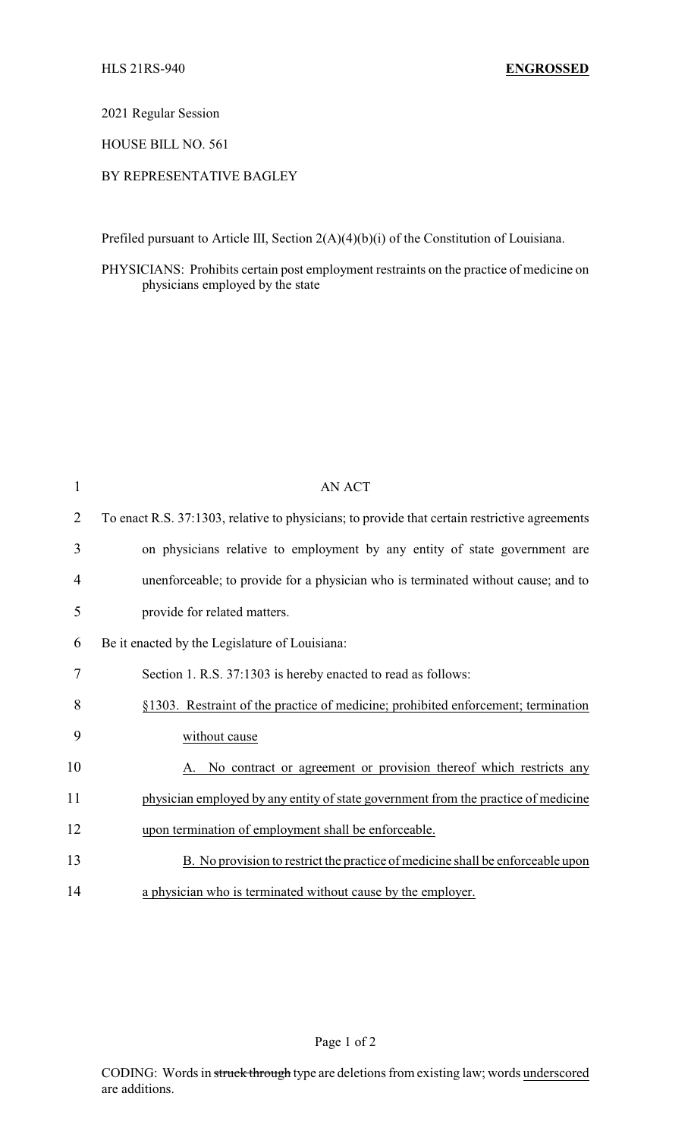2021 Regular Session

HOUSE BILL NO. 561

## BY REPRESENTATIVE BAGLEY

Prefiled pursuant to Article III, Section 2(A)(4)(b)(i) of the Constitution of Louisiana.

PHYSICIANS: Prohibits certain post employment restraints on the practice of medicine on physicians employed by the state

| 1              | <b>AN ACT</b>                                                                                 |
|----------------|-----------------------------------------------------------------------------------------------|
| $\overline{2}$ | To enact R.S. 37:1303, relative to physicians; to provide that certain restrictive agreements |
| 3              | on physicians relative to employment by any entity of state government are                    |
| 4              | unenforceable; to provide for a physician who is terminated without cause; and to             |
| 5              | provide for related matters.                                                                  |
| 6              | Be it enacted by the Legislature of Louisiana:                                                |
| 7              | Section 1. R.S. 37:1303 is hereby enacted to read as follows:                                 |
| 8              | §1303. Restraint of the practice of medicine; prohibited enforcement; termination             |
| 9              | without cause                                                                                 |
| 10             | A. No contract or agreement or provision thereof which restricts any                          |
| 11             | physician employed by any entity of state government from the practice of medicine            |
| 12             | upon termination of employment shall be enforceable.                                          |
| 13             | B. No provision to restrict the practice of medicine shall be enforceable upon                |
| 14             | a physician who is terminated without cause by the employer.                                  |

Page 1 of 2